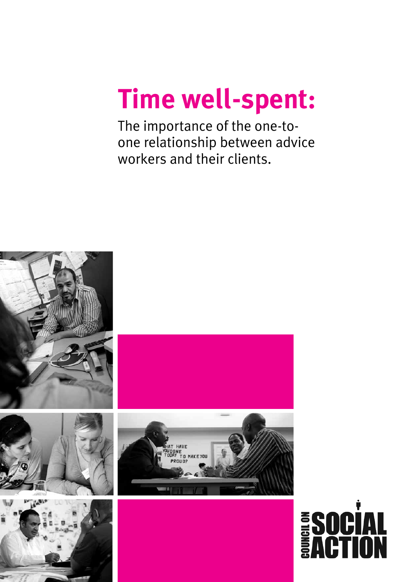# **Time well-spent:**

The importance of the one-toone relationship between advice workers and their clients.

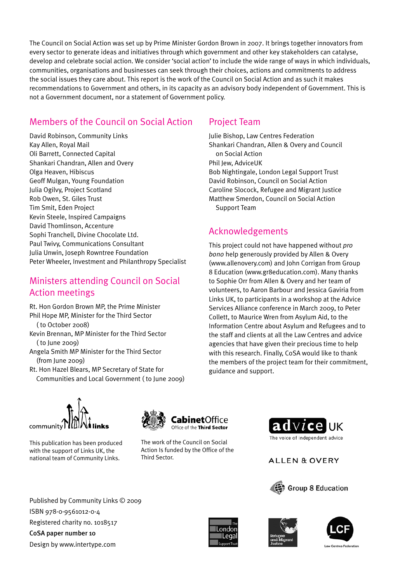The Council on Social Action was set up by Prime Minister Gordon Brown in 2007. It brings together innovators from every sector to generate ideas and initiatives through which government and other key stakeholders can catalyse, develop and celebrate social action. We consider 'social action' to include the wide range of ways in which individuals, communities, organisations and businesses can seek through their choices, actions and commitments to address the social issues they care about. This report is the work of the Council on Social Action and as such it makes recommendations to Government and others, in its capacity as an advisory body independent of Government. This is not a Government document, nor a statement of Government policy.

# Members of the Council on Social Action

David Robinson, Community Links Kay Allen, Royal Mail Oli Barrett, Connected Capital Shankari Chandran, Allen and Overy Olga Heaven, Hibiscus Geoff Mulgan, Young Foundation Julia Ogilvy, Project Scotland Rob Owen, St. Giles Trust Tim Smit, Eden Project Kevin Steele, Inspired Campaigns David Thomlinson, Accenture Sophi Tranchell, Divine Chocolate Ltd. Paul Twivy, Communications Consultant Julia Unwin, Joseph Rowntree Foundation Peter Wheeler, Investment and Philanthropy Specialist

# Ministers attending Council on Social Action meetings

Rt. Hon Gordon Brown MP, the Prime Minister Phil Hope MP, Minister for the Third Sector ( to October 2008) Kevin Brennan, MP Minister for the Third Sector ( to June 2009) Angela Smith MP Minister for the Third Sector (from June 2009)

Rt. Hon Hazel Blears, MP Secretary of State for Communities and Local Government ( to June 2009)

# Project Team

Julie Bishop, Law Centres Federation Shankari Chandran, Allen & Overy and Council on Social Action Phil Jew, AdviceUK Bob Nightingale, London Legal Support Trust David Robinson, Council on Social Action Caroline Slocock, Refugee and Migrant Justice Matthew Smerdon, Council on Social Action Support Team

# Acknowledgements

This project could not have happened without *pro bono* help generously provided by Allen & Overy (www.allenovery.com) and John Corrigan from Group 8 Education (www.gr8education.com). Many thanks to Sophie Orr from Allen & Overy and her team of volunteers, to Aaron Barbour and Jessica Gaviria from Links UK, to participants in a workshop at the Advice Services Alliance conference in March 2009, to Peter Collett, to Maurice Wren from Asylum Aid, to the Information Centre about Asylum and Refugees and to the staff and clients at all the Law Centres and advice agencies that have given their precious time to help with this research. Finally, CoSA would like to thank the members of the project team for their commitment, guidance and support.



This publication has been produced with the support of Links UK, the national team of Community Links.



The work of the Council on Social Action Is funded by the Office of the Third Sector.



**ALLEN & OVERY** 









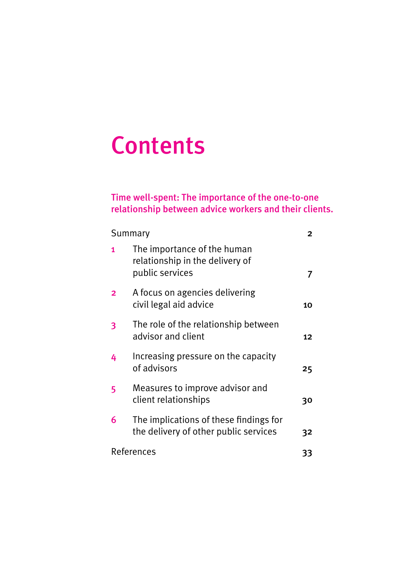# **Contents**

# Time well-spent: The importance of the one-to-one relationship between advice workers and their clients.

| Summary                 |                                                                                   |    |
|-------------------------|-----------------------------------------------------------------------------------|----|
| 1                       | The importance of the human<br>relationship in the delivery of<br>public services |    |
| $\overline{\mathbf{c}}$ | A focus on agencies delivering<br>civil legal aid advice                          | 10 |
| 3                       | The role of the relationship between<br>advisor and client                        | 12 |
| 4                       | Increasing pressure on the capacity<br>of advisors                                | 25 |
| 5                       | Measures to improve advisor and<br>client relationships                           | 30 |
| 6                       | The implications of these findings for<br>the delivery of other public services   | 32 |
| References              |                                                                                   | 33 |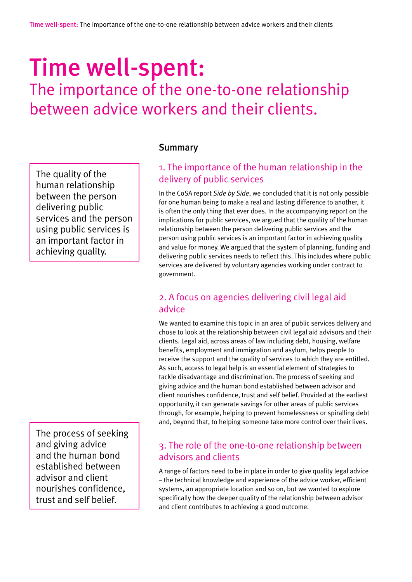# Time well-spent:

The importance of the one-to-one relationship between advice workers and their clients.

The quality of the human relationship between the person delivering public services and the person using public services is an important factor in achieving quality.

The process of seeking and giving advice and the human bond established between advisor and client nourishes confidence, trust and self belief.

#### Summary

# 1. The importance of the human relationship in the delivery of public services

In the CoSA report *Side by Side*, we concluded that it is not only possible for one human being to make a real and lasting difference to another, it is often the only thing that ever does. In the accompanying report on the implications for public services, we argued that the quality of the human relationship between the person delivering public services and the person using public services is an important factor in achieving quality and value for money. We argued that the system of planning, funding and delivering public services needs to reflect this. This includes where public services are delivered by voluntary agencies working under contract to government.

## 2. A focus on agencies delivering civil legal aid advice

We wanted to examine this topic in an area of public services delivery and chose to look at the relationship between civil legal aid advisors and their clients. Legal aid, across areas of law including debt, housing, welfare benefits, employment and immigration and asylum, helps people to receive the support and the quality of services to which they are entitled. As such, access to legal help is an essential element of strategies to tackle disadvantage and discrimination. The process of seeking and giving advice and the human bond established between advisor and client nourishes confidence, trust and self belief. Provided at the earliest opportunity, it can generate savings for other areas of public services through, for example, helping to prevent homelessness or spiralling debt and, beyond that, to helping someone take more control over their lives.

### 3. The role of the one-to-one relationship between advisors and clients

A range of factors need to be in place in order to give quality legal advice – the technical knowledge and experience of the advice worker, efficient systems, an appropriate location and so on, but we wanted to explore specifically how the deeper quality of the relationship between advisor and client contributes to achieving a good outcome.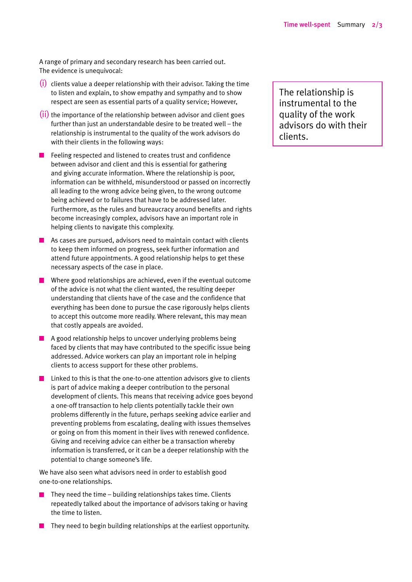A range of primary and secondary research has been carried out. The evidence is unequivocal:

- (i) clients value a deeper relationship with their advisor. Taking the time to listen and explain, to show empathy and sympathy and to show respect are seen as essential parts of a quality service; However,
- $(i)$  the importance of the relationship between advisor and client goes further than just an understandable desire to be treated well – the relationship is instrumental to the quality of the work advisors do with their clients in the following ways:
- Feeling respected and listened to creates trust and confidence between advisor and client and this is essential for gathering and giving accurate information. Where the relationship is poor, information can be withheld, misunderstood or passed on incorrectly all leading to the wrong advice being given, to the wrong outcome being achieved or to failures that have to be addressed later. Furthermore, as the rules and bureaucracy around benefits and rights become increasingly complex, advisors have an important role in helping clients to navigate this complexity.
- $\blacksquare$  As cases are pursued, advisors need to maintain contact with clients to keep them informed on progress, seek further information and attend future appointments. A good relationship helps to get these necessary aspects of the case in place.
- Where good relationships are achieved, even if the eventual outcome of the advice is not what the client wanted, the resulting deeper understanding that clients have of the case and the confidence that everything has been done to pursue the case rigorously helps clients to accept this outcome more readily. Where relevant, this may mean that costly appeals are avoided.
- $\blacksquare$  A good relationship helps to uncover underlying problems being faced by clients that may have contributed to the specific issue being addressed. Advice workers can play an important role in helping clients to access support for these other problems.
- $\blacksquare$  Linked to this is that the one-to-one attention advisors give to clients is part of advice making a deeper contribution to the personal development of clients. This means that receiving advice goes beyond a one-off transaction to help clients potentially tackle their own problems differently in the future, perhaps seeking advice earlier and preventing problems from escalating, dealing with issues themselves or going on from this moment in their lives with renewed confidence. Giving and receiving advice can either be a transaction whereby information is transferred, or it can be a deeper relationship with the potential to change someone's life.

We have also seen what advisors need in order to establish good one-to-one relationships.

- They need the time building relationships takes time. Clients repeatedly talked about the importance of advisors taking or having the time to listen.
- $\blacksquare$  They need to begin building relationships at the earliest opportunity.

The relationship is instrumental to the quality of the work advisors do with their clients.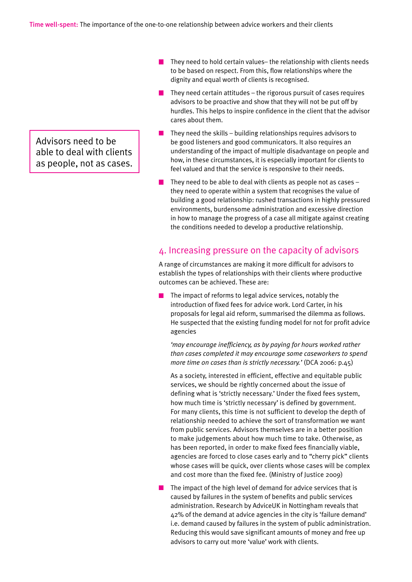Advisors need to be able to deal with clients as people, not as cases.

- $\mathcal{L}$ They need to hold certain values– the relationship with clients needs to be based on respect. From this, flow relationships where the dignity and equal worth of clients is recognised.
- They need certain attitudes the rigorous pursuit of cases requires advisors to be proactive and show that they will not be put off by hurdles. This helps to inspire confidence in the client that the advisor cares about them.
- $\blacksquare$  They need the skills building relationships requires advisors to be good listeners and good communicators. It also requires an understanding of the impact of multiple disadvantage on people and how, in these circumstances, it is especially important for clients to feel valued and that the service is responsive to their needs.
- They need to be able to deal with clients as people not as cases they need to operate within a system that recognises the value of building a good relationship: rushed transactions in highly pressured environments, burdensome administration and excessive direction in how to manage the progress of a case all mitigate against creating the conditions needed to develop a productive relationship.

#### 4. Increasing pressure on the capacity of advisors

A range of circumstances are making it more difficult for advisors to establish the types of relationships with their clients where productive outcomes can be achieved. These are:

The impact of reforms to legal advice services, notably the introduction of fixed fees for advice work. Lord Carter, in his proposals for legal aid reform, summarised the dilemma as follows. He suspected that the existing funding model for not for profit advice agencies

*'may encourage inefficiency, as by paying for hours worked rather than cases completed it may encourage some caseworkers to spend more time on cases than is strictly necessary.'* (DCA 2006: p.45)

As a society, interested in efficient, effective and equitable public services, we should be rightly concerned about the issue of defining what is 'strictly necessary.' Under the fixed fees system, how much time is 'strictly necessary' is defined by government. For many clients, this time is not sufficient to develop the depth of relationship needed to achieve the sort of transformation we want from public services. Advisors themselves are in a better position to make judgements about how much time to take. Otherwise, as has been reported, in order to make fixed fees financially viable, agencies are forced to close cases early and to "cherry pick" clients whose cases will be quick, over clients whose cases will be complex and cost more than the fixed fee. (Ministry of Justice 2009)

The impact of the high level of demand for advice services that is caused by failures in the system of benefits and public services administration. Research by AdviceUK in Nottingham reveals that 42% of the demand at advice agencies in the city is 'failure demand' i.e. demand caused by failures in the system of public administration. Reducing this would save significant amounts of money and free up advisors to carry out more 'value' work with clients.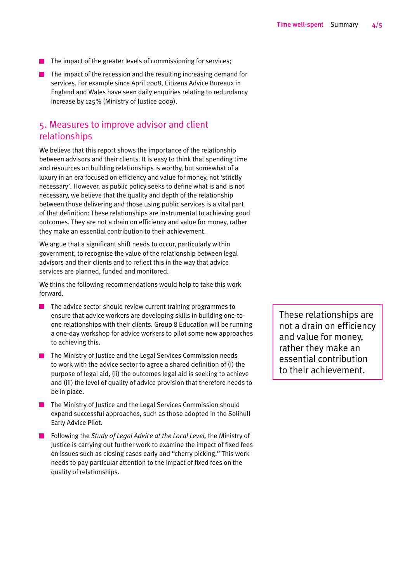- The impact of the greater levels of commissioning for services;
- $\blacksquare$  The impact of the recession and the resulting increasing demand for services. For example since April 2008, Citizens Advice Bureaux in England and Wales have seen daily enquiries relating to redundancy increase by 125% (Ministry of Justice 2009).

#### 5. Measures to improve advisor and client relationships

We believe that this report shows the importance of the relationship between advisors and their clients. It is easy to think that spending time and resources on building relationships is worthy, but somewhat of a luxury in an era focused on efficiency and value for money, not 'strictly necessary'. However, as public policy seeks to define what is and is not necessary, we believe that the quality and depth of the relationship between those delivering and those using public services is a vital part of that definition: These relationships are instrumental to achieving good outcomes. They are not a drain on efficiency and value for money, rather they make an essential contribution to their achievement.

We argue that a significant shift needs to occur, particularly within government, to recognise the value of the relationship between legal advisors and their clients and to reflect this in the way that advice services are planned, funded and monitored.

We think the following recommendations would help to take this work forward.

- $\blacksquare$  The advice sector should review current training programmes to ensure that advice workers are developing skills in building one-toone relationships with their clients. Group 8 Education will be running a one-day workshop for advice workers to pilot some new approaches to achieving this.
- The Ministry of Justice and the Legal Services Commission needs to work with the advice sector to agree a shared definition of (i) the purpose of legal aid, (ii) the outcomes legal aid is seeking to achieve and (iii) the level of quality of advice provision that therefore needs to be in place.
- $\blacksquare$  The Ministry of Justice and the Legal Services Commission should expand successful approaches, such as those adopted in the Solihull Early Advice Pilot.
- Following the *Study of Legal Advice at the Local Level,* the Ministry of Justice is carrying out further work to examine the impact of fixed fees on issues such as closing cases early and "cherry picking." This work needs to pay particular attention to the impact of fixed fees on the quality of relationships.

These relationships are not a drain on efficiency and value for money, rather they make an essential contribution to their achievement.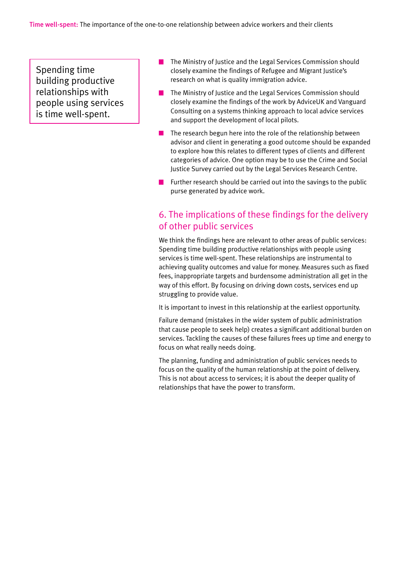Spending time building productive relationships with people using services is time well-spent.

- The Ministry of Justice and the Legal Services Commission should closely examine the findings of Refugee and Migrant Justice's research on what is quality immigration advice.
- The Ministry of Justice and the Legal Services Commission should closely examine the findings of the work by AdviceUK and Vanguard Consulting on a systems thinking approach to local advice services and support the development of local pilots.
- $\blacksquare$  The research begun here into the role of the relationship between advisor and client in generating a good outcome should be expanded to explore how this relates to different types of clients and different categories of advice. One option may be to use the Crime and Social Justice Survey carried out by the Legal Services Research Centre.
- $\blacksquare$  Further research should be carried out into the savings to the public purse generated by advice work.

### 6. The implications of these findings for the delivery of other public services

We think the findings here are relevant to other areas of public services: Spending time building productive relationships with people using services is time well-spent. These relationships are instrumental to achieving quality outcomes and value for money. Measures such as fixed fees, inappropriate targets and burdensome administration all get in the way of this effort. By focusing on driving down costs, services end up struggling to provide value.

It is important to invest in this relationship at the earliest opportunity.

Failure demand (mistakes in the wider system of public administration that cause people to seek help) creates a significant additional burden on services. Tackling the causes of these failures frees up time and energy to focus on what really needs doing.

The planning, funding and administration of public services needs to focus on the quality of the human relationship at the point of delivery. This is not about access to services; it is about the deeper quality of relationships that have the power to transform.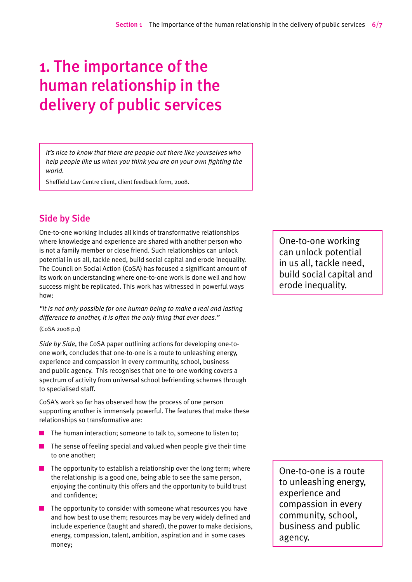# 1. The importance of the human relationship in the delivery of public services

*It's nice to know that there are people out there like yourselves who help people like us when you think you are on your own fighting the world.*

Sheffield Law Centre client, client feedback form, 2008.

### Side by Side

One-to-one working includes all kinds of transformative relationships where knowledge and experience are shared with another person who is not a family member or close friend. Such relationships can unlock potential in us all, tackle need, build social capital and erode inequality. The Council on Social Action (CoSA) has focused a significant amount of its work on understanding where one-to-one work is done well and how success might be replicated. This work has witnessed in powerful ways how:

*"It is not only possible for one human being to make a real and lasting difference to another, it is often the only thing that ever does."*

(CoSA 2008 p.1)

*Side by Side*, the CoSA paper outlining actions for developing one-toone work, concludes that one-to-one is a route to unleashing energy, experience and compassion in every community, school, business and public agency. This recognises that one-to-one working covers a spectrum of activity from universal school befriending schemes through to specialised staff.

CoSA's work so far has observed how the process of one person supporting another is immensely powerful. The features that make these relationships so transformative are:

- The human interaction; someone to talk to, someone to listen to; **Tale**
- $\blacksquare$  The sense of feeling special and valued when people give their time to one another;
- $\blacksquare$  The opportunity to establish a relationship over the long term; where the relationship is a good one, being able to see the same person, enjoying the continuity this offers and the opportunity to build trust and confidence;
- $\blacksquare$  The opportunity to consider with someone what resources you have and how best to use them; resources may be very widely defined and include experience (taught and shared), the power to make decisions, energy, compassion, talent, ambition, aspiration and in some cases money;

One-to-one working can unlock potential in us all, tackle need, build social capital and erode inequality.

One-to-one is a route to unleashing energy, experience and compassion in every community, school, business and public agency.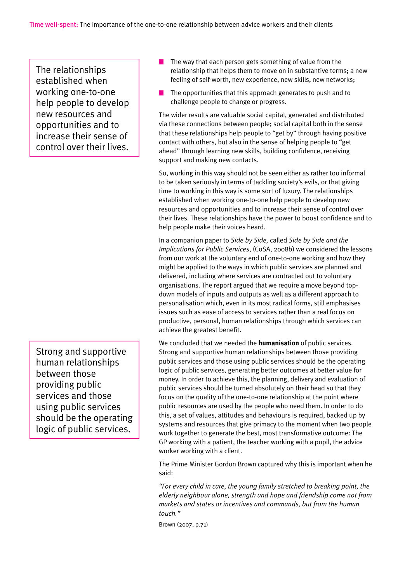The relationships established when working one-to-one help people to develop new resources and opportunities and to increase their sense of control over their lives.

Strong and supportive human relationships between those providing public services and those using public services should be the operating logic of public services.

- The way that each person gets something of value from the relationship that helps them to move on in substantive terms; a new feeling of self-worth, new experience, new skills, new networks;
- The opportunities that this approach generates to push and to challenge people to change or progress.

The wider results are valuable social capital, generated and distributed via these connections between people; social capital both in the sense that these relationships help people to "get by" through having positive contact with others, but also in the sense of helping people to "get ahead" through learning new skills, building confidence, receiving support and making new contacts.

So, working in this way should not be seen either as rather too informal to be taken seriously in terms of tackling society's evils, or that giving time to working in this way is some sort of luxury. The relationships established when working one-to-one help people to develop new resources and opportunities and to increase their sense of control over their lives. These relationships have the power to boost confidence and to help people make their voices heard.

In a companion paper to *Side by Side,* called *Side by Side and the Implications for Public Services*, (CoSA, 2008b) we considered the lessons from our work at the voluntary end of one-to-one working and how they might be applied to the ways in which public services are planned and delivered, including where services are contracted out to voluntary organisations. The report argued that we require a move beyond topdown models of inputs and outputs as well as a different approach to personalisation which, even in its most radical forms, still emphasises issues such as ease of access to services rather than a real focus on productive, personal, human relationships through which services can achieve the greatest benefit.

We concluded that we needed the **humanisation** of public services. Strong and supportive human relationships between those providing public services and those using public services should be the operating logic of public services, generating better outcomes at better value for money. In order to achieve this, the planning, delivery and evaluation of public services should be turned absolutely on their head so that they focus on the quality of the one-to-one relationship at the point where public resources are used by the people who need them. In order to do this, a set of values, attitudes and behaviours is required, backed up by systems and resources that give primacy to the moment when two people work together to generate the best, most transformative outcome: The GP working with a patient, the teacher working with a pupil, the advice worker working with a client.

The Prime Minister Gordon Brown captured why this is important when he said:

*"For every child in care, the young family stretched to breaking point, the elderly neighbour alone, strength and hope and friendship come not from markets and states or incentives and commands, but from the human touch."*

Brown (2007, p.71)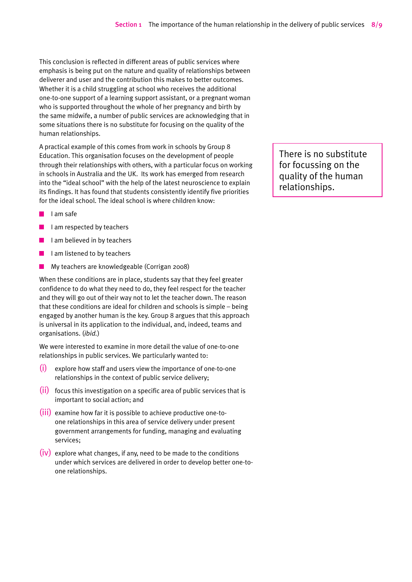This conclusion is reflected in different areas of public services where emphasis is being put on the nature and quality of relationships between deliverer and user and the contribution this makes to better outcomes. Whether it is a child struggling at school who receives the additional one-to-one support of a learning support assistant, or a pregnant woman who is supported throughout the whole of her pregnancy and birth by the same midwife, a number of public services are acknowledging that in some situations there is no substitute for focusing on the quality of the human relationships.

A practical example of this comes from work in schools by Group 8 Education. This organisation focuses on the development of people through their relationships with others, with a particular focus on working in schools in Australia and the UK. Its work has emerged from research into the "ideal school" with the help of the latest neuroscience to explain its findings. It has found that students consistently identify five priorities for the ideal school. The ideal school is where children know:

- I am safe
- I am respected by teachers
- $\blacksquare$  I am believed in by teachers
- $\blacksquare$  I am listened to by teachers
- $\mathbb{R}^n$ My teachers are knowledgeable (Corrigan 2008)

When these conditions are in place, students say that they feel greater confidence to do what they need to do, they feel respect for the teacher and they will go out of their way not to let the teacher down. The reason that these conditions are ideal for children and schools is simple – being engaged by another human is the key. Group 8 argues that this approach is universal in its application to the individual, and, indeed, teams and organisations. (*ibid.*)

We were interested to examine in more detail the value of one-to-one relationships in public services. We particularly wanted to:

- $(i)$  explore how staff and users view the importance of one-to-one relationships in the context of public service delivery;
- (ii) focus this investigation on a specific area of public services that is important to social action; and
- (iii) examine how far it is possible to achieve productive one-toone relationships in this area of service delivery under present government arrangements for funding, managing and evaluating services;
- $(iv)$  explore what changes, if any, need to be made to the conditions under which services are delivered in order to develop better one-toone relationships.

There is no substitute for focussing on the quality of the human relationships.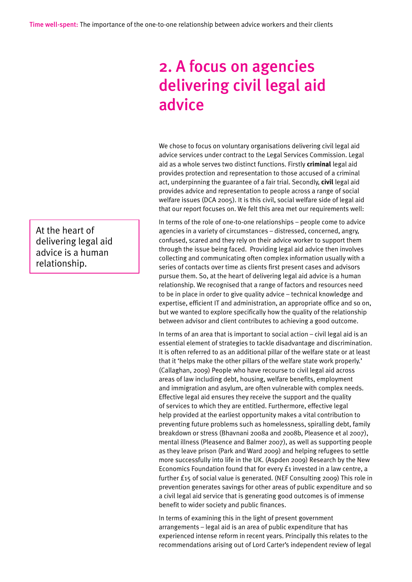# 2. A focus on agencies delivering civil legal aid advice

We chose to focus on voluntary organisations delivering civil legal aid advice services under contract to the Legal Services Commission. Legal aid as a whole serves two distinct functions. Firstly **criminal** legal aid provides protection and representation to those accused of a criminal act, underpinning the guarantee of a fair trial. Secondly, **civil** legal aid provides advice and representation to people across a range of social welfare issues (DCA 2005). It is this civil, social welfare side of legal aid that our report focuses on. We felt this area met our requirements well:

In terms of the role of one-to-one relationships – people come to advice agencies in a variety of circumstances – distressed, concerned, angry, confused, scared and they rely on their advice worker to support them through the issue being faced. Providing legal aid advice then involves collecting and communicating often complex information usually with a series of contacts over time as clients first present cases and advisors pursue them. So, at the heart of delivering legal aid advice is a human relationship. We recognised that a range of factors and resources need to be in place in order to give quality advice – technical knowledge and expertise, efficient IT and administration, an appropriate office and so on, but we wanted to explore specifically how the quality of the relationship between advisor and client contributes to achieving a good outcome.

In terms of an area that is important to social action – civil legal aid is an essential element of strategies to tackle disadvantage and discrimination. It is often referred to as an additional pillar of the welfare state or at least that it 'helps make the other pillars of the welfare state work properly.' (Callaghan, 2009) People who have recourse to civil legal aid across areas of law including debt, housing, welfare benefits, employment and immigration and asylum, are often vulnerable with complex needs. Effective legal aid ensures they receive the support and the quality of services to which they are entitled. Furthermore, effective legal help provided at the earliest opportunity makes a vital contribution to preventing future problems such as homelessness, spiralling debt, family breakdown or stress (Bhavnani 2008a and 2008b, Pleasence et al 2007), mental illness (Pleasence and Balmer 2007), as well as supporting people as they leave prison (Park and Ward 2009) and helping refugees to settle more successfully into life in the UK. (Aspden 2009) Research by the New Economics Foundation found that for every £1 invested in a law centre, a further £15 of social value is generated. (NEF Consulting 2009) This role in prevention generates savings for other areas of public expenditure and so a civil legal aid service that is generating good outcomes is of immense benefit to wider society and public finances.

In terms of examining this in the light of present government arrangements – legal aid is an area of public expenditure that has experienced intense reform in recent years. Principally this relates to the recommendations arising out of Lord Carter's independent review of legal

At the heart of delivering legal aid advice is a human relationship.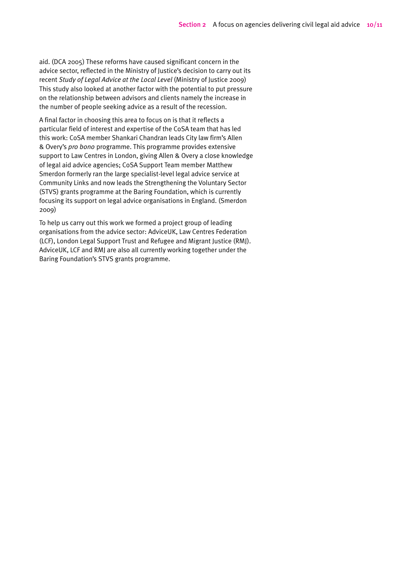aid. (DCA 2005) These reforms have caused significant concern in the advice sector, reflected in the Ministry of Justice's decision to carry out its recent *Study of Legal Advice at the Local Level* (Ministry of Justice 2009) This study also looked at another factor with the potential to put pressure on the relationship between advisors and clients namely the increase in the number of people seeking advice as a result of the recession.

A final factor in choosing this area to focus on is that it reflects a particular field of interest and expertise of the CoSA team that has led this work: CoSA member Shankari Chandran leads City law firm's Allen & Overy's *pro bono* programme. This programme provides extensive support to Law Centres in London, giving Allen & Overy a close knowledge of legal aid advice agencies; CoSA Support Team member Matthew Smerdon formerly ran the large specialist-level legal advice service at Community Links and now leads the Strengthening the Voluntary Sector (STVS) grants programme at the Baring Foundation, which is currently focusing its support on legal advice organisations in England. (Smerdon 2009)

To help us carry out this work we formed a project group of leading organisations from the advice sector: AdviceUK, Law Centres Federation (LCF), London Legal Support Trust and Refugee and Migrant Justice (RMJ). AdviceUK, LCF and RMJ are also all currently working together under the Baring Foundation's STVS grants programme.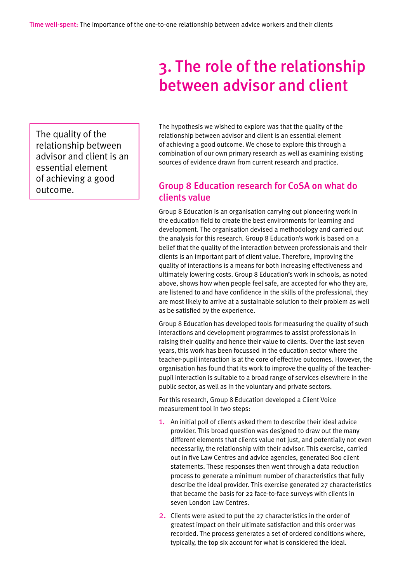# 3. The role of the relationship between advisor and client

The quality of the relationship between advisor and client is an essential element of achieving a good outcome.

The hypothesis we wished to explore was that the quality of the relationship between advisor and client is an essential element of achieving a good outcome. We chose to explore this through a combination of our own primary research as well as examining existing sources of evidence drawn from current research and practice.

### Group 8 Education research for CoSA on what do clients value

Group 8 Education is an organisation carrying out pioneering work in the education field to create the best environments for learning and development. The organisation devised a methodology and carried out the analysis for this research. Group 8 Education's work is based on a belief that the quality of the interaction between professionals and their clients is an important part of client value. Therefore, improving the quality of interactions is a means for both increasing effectiveness and ultimately lowering costs. Group 8 Education's work in schools, as noted above, shows how when people feel safe, are accepted for who they are, are listened to and have confidence in the skills of the professional, they are most likely to arrive at a sustainable solution to their problem as well as be satisfied by the experience.

Group 8 Education has developed tools for measuring the quality of such interactions and development programmes to assist professionals in raising their quality and hence their value to clients. Over the last seven years, this work has been focussed in the education sector where the teacher-pupil interaction is at the core of effective outcomes. However, the organisation has found that its work to improve the quality of the teacherpupil interaction is suitable to a broad range of services elsewhere in the public sector, as well as in the voluntary and private sectors.

For this research, Group 8 Education developed a Client Voice measurement tool in two steps:

- 1. An initial poll of clients asked them to describe their ideal advice provider. This broad question was designed to draw out the many different elements that clients value not just, and potentially not even necessarily, the relationship with their advisor. This exercise, carried out in five Law Centres and advice agencies, generated 800 client statements. These responses then went through a data reduction process to generate a minimum number of characteristics that fully describe the ideal provider. This exercise generated 27 characteristics that became the basis for 22 face-to-face surveys with clients in seven London Law Centres.
- 2. Clients were asked to put the 27 characteristics in the order of greatest impact on their ultimate satisfaction and this order was recorded. The process generates a set of ordered conditions where, typically, the top six account for what is considered the ideal.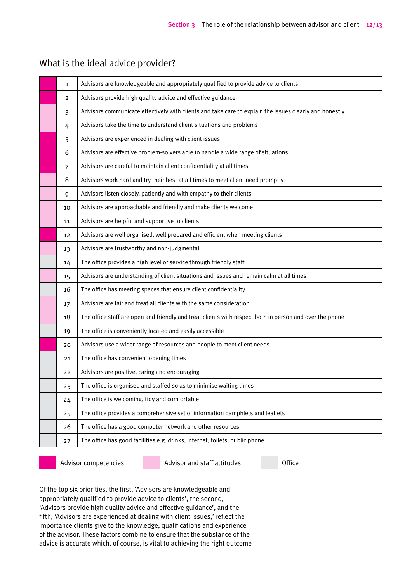|  | What is the ideal advice provider? |
|--|------------------------------------|
|--|------------------------------------|

| $\mathbf{1}$   | Advisors are knowledgeable and appropriately qualified to provide advice to clients                     |
|----------------|---------------------------------------------------------------------------------------------------------|
| 2              | Advisors provide high quality advice and effective guidance                                             |
| 3              | Advisors communicate effectively with clients and take care to explain the issues clearly and honestly  |
| 4              | Advisors take the time to understand client situations and problems                                     |
| 5              | Advisors are experienced in dealing with client issues                                                  |
| 6              | Advisors are effective problem-solvers able to handle a wide range of situations                        |
| $\overline{7}$ | Advisors are careful to maintain client confidentiality at all times                                    |
| 8              | Advisors work hard and try their best at all times to meet client need promptly                         |
| 9              | Advisors listen closely, patiently and with empathy to their clients                                    |
| 10             | Advisors are approachable and friendly and make clients welcome                                         |
| 11             | Advisors are helpful and supportive to clients                                                          |
| 12             | Advisors are well organised, well prepared and efficient when meeting clients                           |
| 13             | Advisors are trustworthy and non-judgmental                                                             |
| 14             | The office provides a high level of service through friendly staff                                      |
| 15             | Advisors are understanding of client situations and issues and remain calm at all times                 |
| 16             | The office has meeting spaces that ensure client confidentiality                                        |
| 17             | Advisors are fair and treat all clients with the same consideration                                     |
| 18             | The office staff are open and friendly and treat clients with respect both in person and over the phone |
| 19             | The office is conveniently located and easily accessible                                                |
| 20             | Advisors use a wider range of resources and people to meet client needs                                 |
| 21             | The office has convenient opening times                                                                 |
| 22             | Advisors are positive, caring and encouraging                                                           |
| 23             | The office is organised and staffed so as to minimise waiting times                                     |
| 24             | The office is welcoming, tidy and comfortable                                                           |
| 25             | The office provides a comprehensive set of information pamphlets and leaflets                           |
| 26             | The office has a good computer network and other resources                                              |
| 27             | The office has good facilities e.g. drinks, internet, toilets, public phone                             |

Advisor competencies Advisor and staff attitudes Office

Of the top six priorities, the first, 'Advisors are knowledgeable and appropriately qualified to provide advice to clients', the second, 'Advisors provide high quality advice and effective guidance', and the fifth, 'Advisors are experienced at dealing with client issues,' reflect the importance clients give to the knowledge, qualifications and experience of the advisor. These factors combine to ensure that the substance of the advice is accurate which, of course, is vital to achieving the right outcome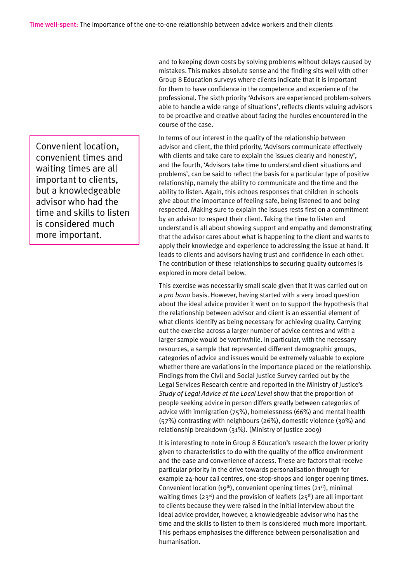Convenient location, convenient times and waiting times are all important to clients, but a knowledgeable advisor who had the time and skills to listen is considered much more important.

and to keeping down costs by solving problems without delays caused by mistakes. This makes absolute sense and the finding sits well with other Group 8 Education surveys where clients indicate that it is important for them to have confidence in the competence and experience of the professional. The sixth priority 'Advisors are experienced problem-solvers able to handle a wide range of situations', reflects clients valuing advisors to be proactive and creative about facing the hurdles encountered in the course of the case.

In terms of our interest in the quality of the relationship between advisor and client, the third priority, 'Advisors communicate effectively with clients and take care to explain the issues clearly and honestly', and the fourth, 'Advisors take time to understand client situations and problems', can be said to reflect the basis for a particular type of positive relationship, namely the ability to communicate and the time and the ability to listen. Again, this echoes responses that children in schools give about the importance of feeling safe, being listened to and being respected. Making sure to explain the issues rests first on a commitment by an advisor to respect their client. Taking the time to listen and understand is all about showing support and empathy and demonstrating that the advisor cares about what is happening to the client and wants to apply their knowledge and experience to addressing the issue at hand. It leads to clients and advisors having trust and confidence in each other. The contribution of these relationships to securing quality outcomes is explored in more detail below.

This exercise was necessarily small scale given that it was carried out on a *pro bono* basis. However, having started with a very broad question about the ideal advice provider it went on to support the hypothesis that the relationship between advisor and client is an essential element of what clients identify as being necessary for achieving quality. Carrying out the exercise across a larger number of advice centres and with a larger sample would be worthwhile. In particular, with the necessary resources, a sample that represented different demographic groups, categories of advice and issues would be extremely valuable to explore whether there are variations in the importance placed on the relationship. Findings from the Civil and Social Justice Survey carried out by the Legal Services Research centre and reported in the Ministry of Justice's *Study of Legal Advice at the Local Level* show that the proportion of people seeking advice in person differs greatly between categories of advice with immigration (75%), homelessness (66%) and mental health (57%) contrasting with neighbours (26%), domestic violence (30%) and relationship breakdown (31%). (Ministry of Justice 2009)

It is interesting to note in Group 8 Education's research the lower priority given to characteristics to do with the quality of the office environment and the ease and convenience of access. These are factors that receive particular priority in the drive towards personalisation through for example 24-hour call centres, one-stop-shops and longer opening times. Convenient location  $(19<sup>th</sup>)$ , convenient opening times  $(21<sup>st</sup>)$ , minimal waiting times ( $23<sup>rd</sup>$ ) and the provision of leaflets ( $25<sup>th</sup>$ ) are all important to clients because they were raised in the initial interview about the ideal advice provider, however, a knowledgeable advisor who has the time and the skills to listen to them is considered much more important. This perhaps emphasises the difference between personalisation and humanisation.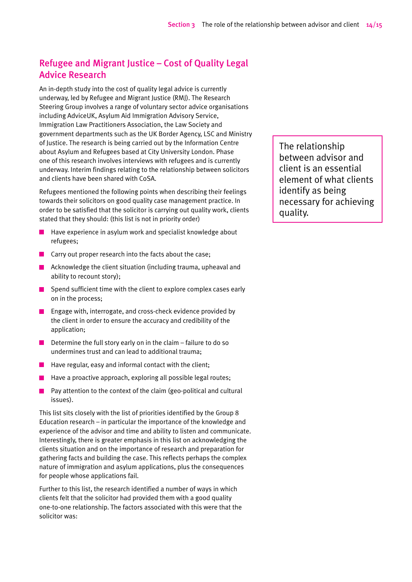# Refugee and Migrant Justice – Cost of Quality Legal Advice Research

An in-depth study into the cost of quality legal advice is currently underway, led by Refugee and Migrant Justice (RMJ). The Research Steering Group involves a range of voluntary sector advice organisations including AdviceUK, Asylum Aid Immigration Advisory Service, Immigration Law Practitioners Association, the Law Society and government departments such as the UK Border Agency, LSC and Ministry of Justice. The research is being carried out by the Information Centre about Asylum and Refugees based at City University London. Phase one of this research involves interviews with refugees and is currently underway. Interim findings relating to the relationship between solicitors and clients have been shared with CoSA.

Refugees mentioned the following points when describing their feelings towards their solicitors on good quality case management practice. In order to be satisfied that the solicitor is carrying out quality work, clients stated that they should: (this list is not in priority order)

- **College** Have experience in asylum work and specialist knowledge about refugees;
- $\blacksquare$  Carry out proper research into the facts about the case;
- **A** Acknowledge the client situation (including trauma, upheaval and ability to recount story);
- $\blacksquare$  Spend sufficient time with the client to explore complex cases early on in the process;
- **EXECUTE:** Engage with, interrogate, and cross-check evidence provided by the client in order to ensure the accuracy and credibility of the application;
- Determine the full story early on in the claim failure to do so undermines trust and can lead to additional trauma;
- $\blacksquare$  Have regular, easy and informal contact with the client;
- Have a proactive approach, exploring all possible legal routes;
- Pay attention to the context of the claim (geo-political and cultural  $\mathcal{L}(\mathcal{A})$ issues).

This list sits closely with the list of priorities identified by the Group 8 Education research – in particular the importance of the knowledge and experience of the advisor and time and ability to listen and communicate. Interestingly, there is greater emphasis in this list on acknowledging the clients situation and on the importance of research and preparation for gathering facts and building the case. This reflects perhaps the complex nature of immigration and asylum applications, plus the consequences for people whose applications fail.

Further to this list, the research identified a number of ways in which clients felt that the solicitor had provided them with a good quality one-to-one relationship. The factors associated with this were that the solicitor was:

The relationship between advisor and client is an essential element of what clients identify as being necessary for achieving quality.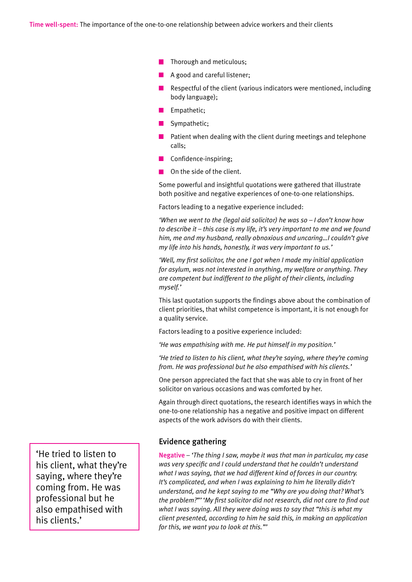- $\blacksquare$  Thorough and meticulous;
- A good and careful listener;
- Respectful of the client (various indicators were mentioned, including body language);
- Empathetic:
- Sympathetic;
- $\blacksquare$  Patient when dealing with the client during meetings and telephone calls;
- **Confidence-inspiring;**
- **On the side of the client.**

Some powerful and insightful quotations were gathered that illustrate both positive and negative experiences of one-to-one relationships.

Factors leading to a negative experience included:

*'When we went to the (legal aid solicitor) he was so – I don't know how to describe it – this case is my life, it's very important to me and we found him, me and my husband, really obnoxious and uncaring…I couldn't give my life into his hands, honestly, it was very important to us.'*

*'Well, my first solicitor, the one I got when I made my initial application for asylum, was not interested in anything, my welfare or anything. They are competent but indifferent to the plight of their clients, including myself.'*

This last quotation supports the findings above about the combination of client priorities, that whilst competence is important, it is not enough for a quality service.

Factors leading to a positive experience included:

*'He was empathising with me. He put himself in my position.'*

*'He tried to listen to his client, what they're saying, where they're coming from. He was professional but he also empathised with his clients.'*

One person appreciated the fact that she was able to cry in front of her solicitor on various occasions and was comforted by her.

Again through direct quotations, the research identifies ways in which the one-to-one relationship has a negative and positive impact on different aspects of the work advisors do with their clients.

#### Evidence gathering

Negative *– 'The thing I saw, maybe it was that man in particular, my case was very specific and I could understand that he couldn't understand what I was saying, that we had different kind of forces in our country. It's complicated, and when I was explaining to him he literally didn't understand, and he kept saying to me "Why are you doing that? What's the problem?"' 'My first solicitor did not research, did not care to find out what I was saying. All they were doing was to say that "this is what my client presented, according to him he said this, in making an application for this, we want you to look at this."'*

'He tried to listen to his client, what they're saying, where they're coming from. He was professional but he also empathised with his clients.'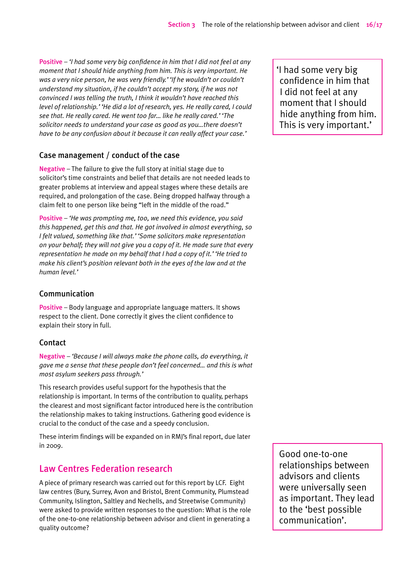Positive *– 'I had some very big confidence in him that I did not feel at any moment that I should hide anything from him. This is very important. He was a very nice person, he was very friendly.' 'If he wouldn't or couldn't understand my situation, if he couldn't accept my story, if he was not convinced I was telling the truth, I think it wouldn't have reached this level of relationship.' 'He did a lot of research, yes. He really cared, I could see that. He really cared. He went too far… like he really cared.' 'The solicitor needs to understand your case as good as you…there doesn't have to be any confusion about it because it can really affect your case.'*

#### Case management / conduct of the case

Negative – The failure to give the full story at initial stage due to solicitor's time constraints and belief that details are not needed leads to greater problems at interview and appeal stages where these details are required, and prolongation of the case. Being dropped halfway through a claim felt to one person like being "left in the middle of the road."

Positive *– 'He was prompting me, too, we need this evidence, you said this happened, get this and that. He got involved in almost everything, so I felt valued, something like that.' 'Some solicitors make representation on your behalf; they will not give you a copy of it. He made sure that every representation he made on my behalf that I had a copy of it.' 'He tried to make his client's position relevant both in the eyes of the law and at the human level.'*

#### Communication

Positive – Body language and appropriate language matters. It shows respect to the client. Done correctly it gives the client confidence to explain their story in full.

#### Contact

Negative *– 'Because I will always make the phone calls, do everything, it gave me a sense that these people don't feel concerned… and this is what most asylum seekers pass through.'*

This research provides useful support for the hypothesis that the relationship is important. In terms of the contribution to quality, perhaps the clearest and most significant factor introduced here is the contribution the relationship makes to taking instructions. Gathering good evidence is crucial to the conduct of the case and a speedy conclusion.

These interim findings will be expanded on in RMJ's final report, due later in 2009.

### Law Centres Federation research

A piece of primary research was carried out for this report by LCF. Eight law centres (Bury, Surrey, Avon and Bristol, Brent Community, Plumstead Community, Islington, Saltley and Nechells, and Streetwise Community) were asked to provide written responses to the question: What is the role of the one-to-one relationship between advisor and client in generating a quality outcome?

Good one-to-one relationships between advisors and clients were universally seen as important. They lead to the 'best possible communication'.

'I had some very big confidence in him that I did not feel at any moment that I should hide anything from him. This is very important.'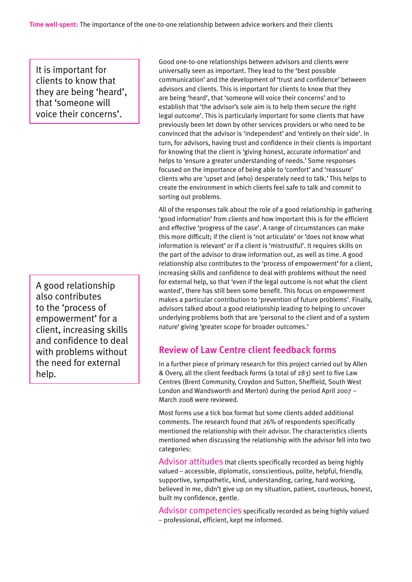It is important for clients to know that they are being 'heard', that 'someone will voice their concerns'.

A good relationship also contributes to the 'process of empowerment' for a client, increasing skills and confidence to deal with problems without the need for external help.

Good one-to-one relationships between advisors and clients were universally seen as important. They lead to the 'best possible communication' and the development of 'trust and confidence' between advisors and clients. This is important for clients to know that they are being 'heard', that 'someone will voice their concerns' and to establish that 'the advisor's sole aim is to help them secure the right legal outcome'. This is particularly important for some clients that have previously been let down by other services providers or who need to be convinced that the advisor is 'independent' and 'entirely on their side'. In turn, for advisors, having trust and confidence in their clients is important for knowing that the client is 'giving honest, accurate information' and helps to 'ensure a greater understanding of needs.' Some responses focused on the importance of being able to 'comfort' and 'reassure' clients who are 'upset and (who) desperately need to talk.' This helps to create the environment in which clients feel safe to talk and commit to sorting out problems.

All of the responses talk about the role of a good relationship in gathering 'good information' from clients and how important this is for the efficient and effective 'progress of the case'. A range of circumstances can make this more difficult; if the client is 'not articulate' or 'does not know what information is relevant' or if a client is 'mistrustful'. It requires skills on the part of the advisor to draw information out, as well as time. A good relationship also contributes to the 'process of empowerment' for a client, increasing skills and confidence to deal with problems without the need for external help, so that 'even if the legal outcome is not what the client wanted', there has still been some benefit. This focus on empowerment makes a particular contribution to 'prevention of future problems'. Finally, advisors talked about a good relationship leading to helping to uncover underlying problems both that are 'personal to the client and of a system nature' giving 'greater scope for broader outcomes.'

### Review of Law Centre client feedback forms

In a further piece of primary research for this project carried out by Allen & Overy, all the client feedback forms (a total of 283) sent to five Law Centres (Brent Community, Croydon and Sutton, Sheffield, South West London and Wandsworth and Merton) during the period April 2007 – March 2008 were reviewed.

Most forms use a tick box format but some clients added additional comments. The research found that 26% of respondents specifically mentioned the relationship with their advisor. The characteristics clients mentioned when discussing the relationship with the advisor fell into two categories:

Advisor attitudes that clients specifically recorded as being highly valued – accessible, diplomatic, conscientious, polite, helpful, friendly, supportive, sympathetic, kind, understanding, caring, hard working, believed in me, didn't give up on my situation, patient, courteous, honest, built my confidence, gentle.

Advisor competencies specifically recorded as being highly valued – professional, efficient, kept me informed.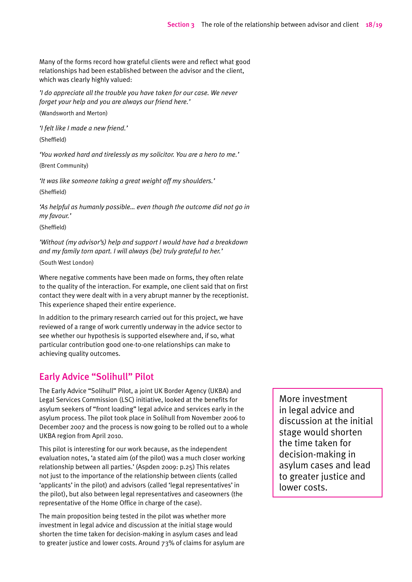Many of the forms record how grateful clients were and reflect what good relationships had been established between the advisor and the client, which was clearly highly valued:

*'I do appreciate all the trouble you have taken for our case. We never forget your help and you are always our friend here.'* 

(Wandsworth and Merton)

*'I felt like I made a new friend.'*  (Sheffield)

*'You worked hard and tirelessly as my solicitor. You are a hero to me.'*  (Brent Community)

*'It was like someone taking a great weight off my shoulders.'*

(Sheffield)

*'As helpful as humanly possible… even though the outcome did not go in my favour.'* 

(Sheffield)

*'Without (my advisor's) help and support I would have had a breakdown and my family torn apart. I will always (be) truly grateful to her.'* 

(South West London)

Where negative comments have been made on forms, they often relate to the quality of the interaction. For example, one client said that on first contact they were dealt with in a very abrupt manner by the receptionist. This experience shaped their entire experience.

In addition to the primary research carried out for this project, we have reviewed of a range of work currently underway in the advice sector to see whether our hypothesis is supported elsewhere and, if so, what particular contribution good one-to-one relationships can make to achieving quality outcomes.

### Early Advice "Solihull" Pilot

The Early Advice "Solihull" Pilot, a joint UK Border Agency (UKBA) and Legal Services Commission (LSC) initiative, looked at the benefits for asylum seekers of "front loading" legal advice and services early in the asylum process. The pilot took place in Solihull from November 2006 to December 2007 and the process is now going to be rolled out to a whole UKBA region from April 2010.

This pilot is interesting for our work because, as the independent evaluation notes, 'a stated aim (of the pilot) was a much closer working relationship between all parties.' (Aspden 2009: p.25) This relates not just to the importance of the relationship between clients (called 'applicants' in the pilot) and advisors (called 'legal representatives' in the pilot), but also between legal representatives and caseowners (the representative of the Home Office in charge of the case).

The main proposition being tested in the pilot was whether more investment in legal advice and discussion at the initial stage would shorten the time taken for decision-making in asylum cases and lead to greater justice and lower costs. Around 73% of claims for asylum are

More investment in legal advice and discussion at the initial stage would shorten the time taken for decision-making in asylum cases and lead to greater justice and lower costs.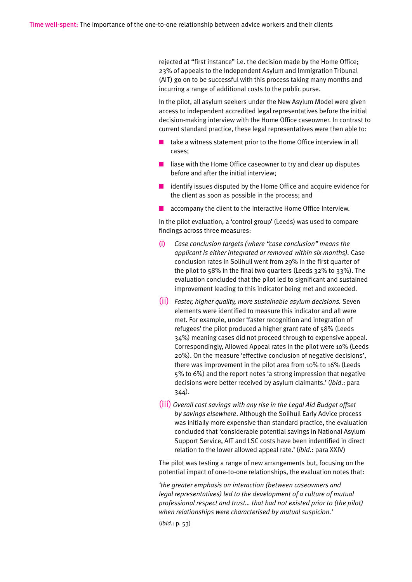rejected at "first instance" i.e. the decision made by the Home Office; 23% of appeals to the Independent Asylum and Immigration Tribunal (AIT) go on to be successful with this process taking many months and incurring a range of additional costs to the public purse.

In the pilot, all asylum seekers under the New Asylum Model were given access to independent accredited legal representatives before the initial decision-making interview with the Home Office caseowner. In contrast to current standard practice, these legal representatives were then able to:

- $\blacksquare$  take a witness statement prior to the Home Office interview in all cases;
- $\blacksquare$  liase with the Home Office caseowner to try and clear up disputes before and after the initial interview;
- $\blacksquare$  identify issues disputed by the Home Office and acquire evidence for the client as soon as possible in the process; and
- accompany the client to the Interactive Home Office Interview.

In the pilot evaluation, a 'control group' (Leeds) was used to compare findings across three measures:

- (i) *Case conclusion targets (where "case conclusion" means the applicant is either integrated or removed within six months).* Case conclusion rates in Solihull went from 29% in the first quarter of the pilot to 58% in the final two quarters (Leeds 32% to 33%). The evaluation concluded that the pilot led to significant and sustained improvement leading to this indicator being met and exceeded.
- (ii) *Faster, higher quality, more sustainable asylum decisions.* Seven elements were identified to measure this indicator and all were met. For example, under 'faster recognition and integration of refugees' the pilot produced a higher grant rate of 58% (Leeds 34%) meaning cases did not proceed through to expensive appeal. Correspondingly, Allowed Appeal rates in the pilot were 10% (Leeds 20%). On the measure 'effective conclusion of negative decisions', there was improvement in the pilot area from 10% to 16% (Leeds 5% to 6%) and the report notes 'a strong impression that negative decisions were better received by asylum claimants.' (*ibid*.: para 344).
- (iii) *Overall cost savings with any rise in the Legal Aid Budget offset by savings elsewhere*. Although the Solihull Early Advice process was initially more expensive than standard practice, the evaluation concluded that 'considerable potential savings in National Asylum Support Service, AIT and LSC costs have been indentified in direct relation to the lower allowed appeal rate.' (*ibid.*: para XXIV)

The pilot was testing a range of new arrangements but, focusing on the potential impact of one-to-one relationships, the evaluation notes that:

*'the greater emphasis on interaction (between caseowners and legal representatives) led to the development of a culture of mutual professional respect and trust… that had not existed prior to (the pilot) when relationships were characterised by mutual suspicion.'* 

(*ibid*.: p. 53)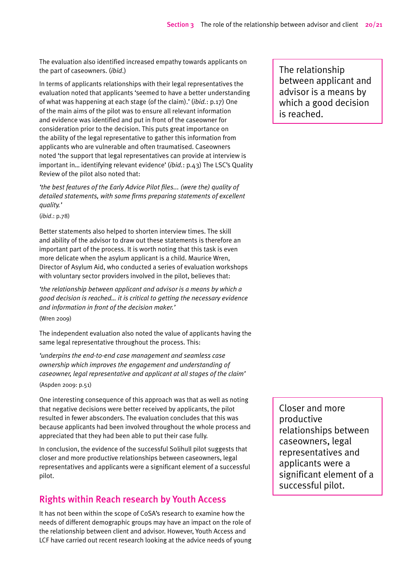The evaluation also identified increased empathy towards applicants on the part of caseowners. (*ibid*.)

In terms of applicants relationships with their legal representatives the evaluation noted that applicants 'seemed to have a better understanding of what was happening at each stage (of the claim).' (*ibid.*: p.17) One of the main aims of the pilot was to ensure all relevant information and evidence was identified and put in front of the caseowner for consideration prior to the decision. This puts great importance on the ability of the legal representative to gather this information from applicants who are vulnerable and often traumatised. Caseowners noted 'the support that legal representatives can provide at interview is important in… identifying relevant evidence' (*ibid.*: p.43) The LSC's Quality Review of the pilot also noted that:

*'the best features of the Early Advice Pilot files... (were the) quality of detailed statements, with some firms preparing statements of excellent quality.'* 

(*ibid*.: p.78)

Better statements also helped to shorten interview times. The skill and ability of the advisor to draw out these statements is therefore an important part of the process. It is worth noting that this task is even more delicate when the asylum applicant is a child. Maurice Wren, Director of Asylum Aid, who conducted a series of evaluation workshops with voluntary sector providers involved in the pilot, believes that:

*'the relationship between applicant and advisor is a means by which a good decision is reached… it is critical to getting the necessary evidence and information in front of the decision maker.'* 

(Wren 2009)

The independent evaluation also noted the value of applicants having the same legal representative throughout the process. This:

*'underpins the end-to-end case management and seamless case ownership which improves the engagement and understanding of caseowner, legal representative and applicant at all stages of the claim'*  (Aspden 2009: p.51)

One interesting consequence of this approach was that as well as noting that negative decisions were better received by applicants, the pilot resulted in fewer absconders. The evaluation concludes that this was because applicants had been involved throughout the whole process and appreciated that they had been able to put their case fully.

In conclusion, the evidence of the successful Solihull pilot suggests that closer and more productive relationships between caseowners, legal representatives and applicants were a significant element of a successful pilot.

## Rights within Reach research by Youth Access

It has not been within the scope of CoSA's research to examine how the needs of different demographic groups may have an impact on the role of the relationship between client and advisor. However, Youth Access and LCF have carried out recent research looking at the advice needs of young

The relationship between applicant and advisor is a means by which a good decision is reached.

Closer and more productive relationships between caseowners, legal representatives and applicants were a significant element of a successful pilot.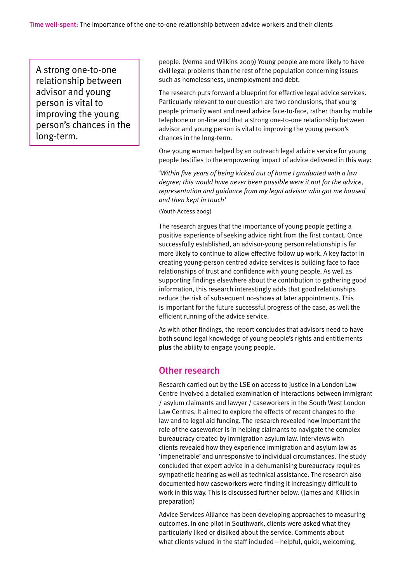A strong one-to-one relationship between advisor and young person is vital to improving the young person's chances in the long-term.

people. (Verma and Wilkins 2009) Young people are more likely to have civil legal problems than the rest of the population concerning issues such as homelessness, unemployment and debt.

The research puts forward a blueprint for effective legal advice services. Particularly relevant to our question are two conclusions, that young people primarily want and need advice face-to-face, rather than by mobile telephone or on-line and that a strong one-to-one relationship between advisor and young person is vital to improving the young person's chances in the long-term.

One young woman helped by an outreach legal advice service for young people testifies to the empowering impact of advice delivered in this way:

*'Within five years of being kicked out of home I graduated with a law degree; this would have never been possible were it not for the advice, representation and guidance from my legal advisor who got me housed and then kept in touch'* 

(Youth Access 2009)

The research argues that the importance of young people getting a positive experience of seeking advice right from the first contact. Once successfully established, an advisor-young person relationship is far more likely to continue to allow effective follow up work. A key factor in creating young-person centred advice services is building face to face relationships of trust and confidence with young people. As well as supporting findings elsewhere about the contribution to gathering good information, this research interestingly adds that good relationships reduce the risk of subsequent no-shows at later appointments. This is important for the future successful progress of the case, as well the efficient running of the advice service.

As with other findings, the report concludes that advisors need to have both sound legal knowledge of young people's rights and entitlements **plus** the ability to engage young people.

#### Other research

Research carried out by the LSE on access to justice in a London Law Centre involved a detailed examination of interactions between immigrant / asylum claimants and lawyer / caseworkers in the South West London Law Centres. It aimed to explore the effects of recent changes to the law and to legal aid funding. The research revealed how important the role of the caseworker is in helping claimants to navigate the complex bureaucracy created by immigration asylum law. Interviews with clients revealed how they experience immigration and asylum law as 'impenetrable' and unresponsive to individual circumstances. The study concluded that expert advice in a dehumanising bureaucracy requires sympathetic hearing as well as technical assistance. The research also documented how caseworkers were finding it increasingly difficult to work in this way. This is discussed further below. (James and Killick in preparation)

Advice Services Alliance has been developing approaches to measuring outcomes. In one pilot in Southwark, clients were asked what they particularly liked or disliked about the service. Comments about what clients valued in the staff included – helpful, quick, welcoming,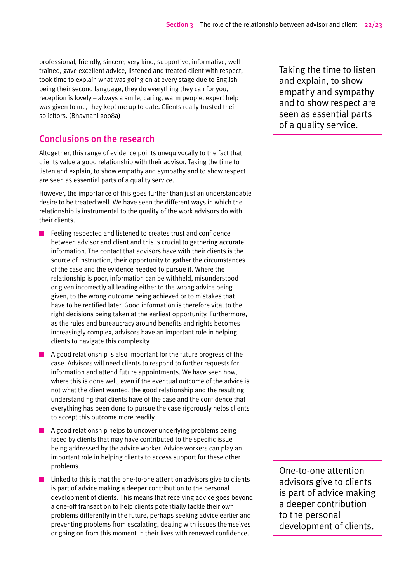professional, friendly, sincere, very kind, supportive, informative, well trained, gave excellent advice, listened and treated client with respect, took time to explain what was going on at every stage due to English being their second language, they do everything they can for you, reception is lovely – always a smile, caring, warm people, expert help was given to me, they kept me up to date. Clients really trusted their solicitors. (Bhavnani 2008a)

#### Conclusions on the research

Altogether, this range of evidence points unequivocally to the fact that clients value a good relationship with their advisor. Taking the time to listen and explain, to show empathy and sympathy and to show respect are seen as essential parts of a quality service.

However, the importance of this goes further than just an understandable desire to be treated well. We have seen the different ways in which the relationship is instrumental to the quality of the work advisors do with their clients.

- Feeling respected and listened to creates trust and confidence between advisor and client and this is crucial to gathering accurate information. The contact that advisors have with their clients is the source of instruction, their opportunity to gather the circumstances of the case and the evidence needed to pursue it. Where the relationship is poor, information can be withheld, misunderstood or given incorrectly all leading either to the wrong advice being given, to the wrong outcome being achieved or to mistakes that have to be rectified later. Good information is therefore vital to the right decisions being taken at the earliest opportunity. Furthermore, as the rules and bureaucracy around benefits and rights becomes increasingly complex, advisors have an important role in helping clients to navigate this complexity.
- $\blacksquare$  A good relationship is also important for the future progress of the case. Advisors will need clients to respond to further requests for information and attend future appointments. We have seen how, where this is done well, even if the eventual outcome of the advice is not what the client wanted, the good relationship and the resulting understanding that clients have of the case and the confidence that everything has been done to pursue the case rigorously helps clients to accept this outcome more readily.
- $\blacksquare$  A good relationship helps to uncover underlying problems being faced by clients that may have contributed to the specific issue being addressed by the advice worker. Advice workers can play an important role in helping clients to access support for these other problems.
- Linked to this is that the one-to-one attention advisors give to clients is part of advice making a deeper contribution to the personal development of clients. This means that receiving advice goes beyond a one-off transaction to help clients potentially tackle their own problems differently in the future, perhaps seeking advice earlier and preventing problems from escalating, dealing with issues themselves or going on from this moment in their lives with renewed confidence.

Taking the time to listen and explain, to show empathy and sympathy and to show respect are seen as essential parts of a quality service.

One-to-one attention advisors give to clients is part of advice making a deeper contribution to the personal development of clients.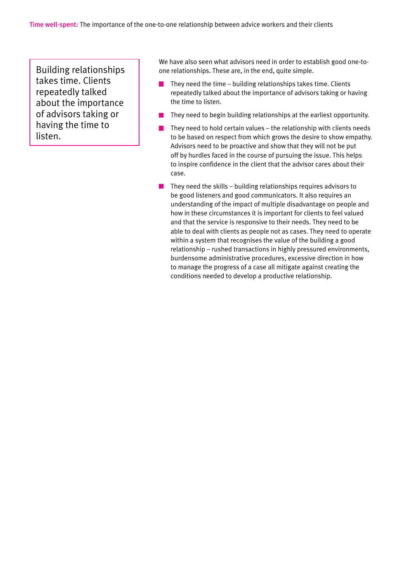Building relationships takes time. Clients repeatedly talked about the importance of advisors taking or having the time to listen.

We have also seen what advisors need in order to establish good one-toone relationships. These are, in the end, quite simple.

- They need the time building relationships takes time. Clients  $\mathcal{L}_{\mathcal{A}}$ repeatedly talked about the importance of advisors taking or having the time to listen.
- They need to begin building relationships at the earliest opportunity.
- They need to hold certain values the relationship with clients needs to be based on respect from which grows the desire to show empathy. Advisors need to be proactive and show that they will not be put off by hurdles faced in the course of pursuing the issue. This helps to inspire confidence in the client that the advisor cares about their case.
- They need the skills building relationships requires advisors to  $\mathbf{r}$ be good listeners and good communicators. It also requires an understanding of the impact of multiple disadvantage on people and how in these circumstances it is important for clients to feel valued and that the service is responsive to their needs. They need to be able to deal with clients as people not as cases. They need to operate within a system that recognises the value of the building a good relationship – rushed transactions in highly pressured environments, burdensome administrative procedures, excessive direction in how to manage the progress of a case all mitigate against creating the conditions needed to develop a productive relationship.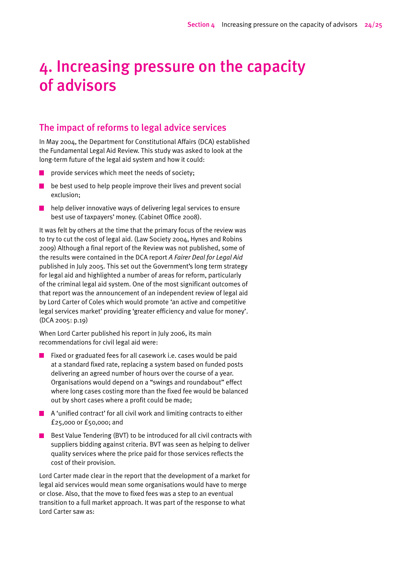# 4. Increasing pressure on the capacity of advisors

#### The impact of reforms to legal advice services

In May 2004, the Department for Constitutional Affairs (DCA) established the Fundamental Legal Aid Review. This study was asked to look at the long-term future of the legal aid system and how it could:

- provide services which meet the needs of society;
- $\blacksquare$  be best used to help people improve their lives and prevent social exclusion;
- help deliver innovative ways of delivering legal services to ensure  $\mathcal{L}_{\mathcal{A}}$ best use of taxpayers' money. (Cabinet Office 2008).

It was felt by others at the time that the primary focus of the review was to try to cut the cost of legal aid. (Law Society 2004, Hynes and Robins 2009) Although a final report of the Review was not published, some of the results were contained in the DCA report *A Fairer Deal for Legal Aid* published in July 2005*.* This set out the Government's long term strategy for legal aid and highlighted a number of areas for reform, particularly of the criminal legal aid system. One of the most significant outcomes of that report was the announcement of an independent review of legal aid by Lord Carter of Coles which would promote 'an active and competitive legal services market' providing 'greater efficiency and value for money'. (DCA 2005: p.19)

When Lord Carter published his report in July 2006, its main recommendations for civil legal aid were:

- Fixed or graduated fees for all casework i.e. cases would be paid  $\mathcal{L}_{\mathcal{A}}$ at a standard fixed rate, replacing a system based on funded posts delivering an agreed number of hours over the course of a year. Organisations would depend on a "swings and roundabout" effect where long cases costing more than the fixed fee would be balanced out by short cases where a profit could be made;
- $\blacksquare$  A 'unified contract' for all civil work and limiting contracts to either £25,000 or £50,000; and
- $\blacksquare$  Best Value Tendering (BVT) to be introduced for all civil contracts with suppliers bidding against criteria. BVT was seen as helping to deliver quality services where the price paid for those services reflects the cost of their provision.

Lord Carter made clear in the report that the development of a market for legal aid services would mean some organisations would have to merge or close. Also, that the move to fixed fees was a step to an eventual transition to a full market approach. It was part of the response to what Lord Carter saw as: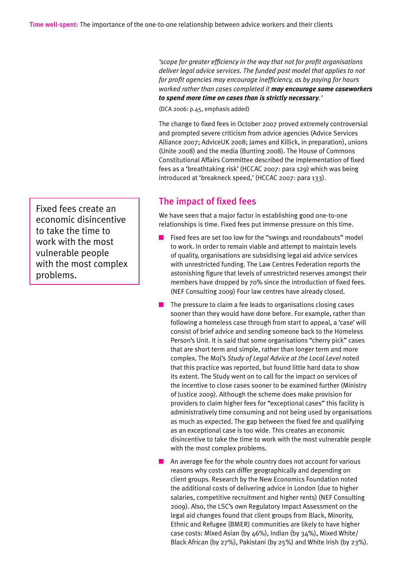*'scope for greater efficiency in the way that not for profit organisations deliver legal advice services. The funded post model that applies to not for profit agencies may encourage inefficiency, as by paying for hours worked rather than cases completed it may encourage some caseworkers to spend more time on cases than is strictly necessary.'* 

(DCA 2006: p.45, emphasis added)

The change to fixed fees in October 2007 proved extremely controversial and prompted severe criticism from advice agencies (Advice Services Alliance 2007; AdviceUK 2008; James and Killick, in preparation), unions (Unite 2008) and the media (Bunting 2008). The House of Commons Constitutional Affairs Committee described the implementation of fixed fees as a 'breathtaking risk' (HCCAC 2007: para 129) which was being introduced at 'breakneck speed,' (HCCAC 2007: para 133).

#### The impact of fixed fees

We have seen that a major factor in establishing good one-to-one relationships is time. Fixed fees put immense pressure on this time.

- Fixed fees are set too low for the "swings and roundabouts" model to work. In order to remain viable and attempt to maintain levels of quality, organisations are subsidising legal aid advice services with unrestricted funding. The Law Centres Federation reports the astonishing figure that levels of unrestricted reserves amongst their members have dropped by 70% since the introduction of fixed fees. (NEF Consulting 2009) Four law centres have already closed.
- The pressure to claim a fee leads to organisations closing cases sooner than they would have done before. For example, rather than following a homeless case through from start to appeal, a 'case' will consist of brief advice and sending someone back to the Homeless Person's Unit. It is said that some organisations "cherry pick" cases that are short term and simple, rather than longer term and more complex. The MoJ's *Study of Legal Advice at the Local Level* noted that this practice was reported, but found little hard data to show its extent. The Study went on to call for the impact on services of the incentive to close cases sooner to be examined further (Ministry of Justice 2009). Although the scheme does make provision for providers to claim higher fees for "exceptional cases" this facility is administratively time consuming and not being used by organisations as much as expected. The gap between the fixed fee and qualifying as an exceptional case is too wide. This creates an economic disincentive to take the time to work with the most vulnerable people with the most complex problems.

An average fee for the whole country does not account for various reasons why costs can differ geographically and depending on client groups. Research by the New Economics Foundation noted the additional costs of delivering advice in London (due to higher salaries, competitive recruitment and higher rents) (NEF Consulting 2009). Also, the LSC's own Regulatory Impact Assessment on the legal aid changes found that client groups from Black, Minority, Ethnic and Refugee (BMER) communities are likely to have higher case costs: Mixed Asian (by 46%), Indian (by 34%), Mixed White/ Black African (by 27%), Pakistani (by 25%) and White Irish (by 23%).

Fixed fees create an economic disincentive to take the time to work with the most vulnerable people with the most complex problems.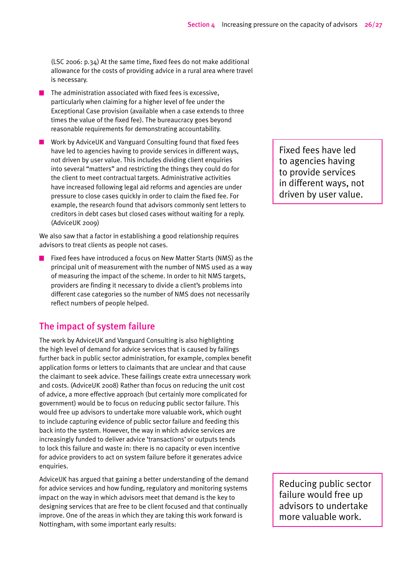(LSC 2006: p.34) At the same time, fixed fees do not make additional allowance for the costs of providing advice in a rural area where travel is necessary.

- The administration associated with fixed fees is excessive, particularly when claiming for a higher level of fee under the Exceptional Case provision (available when a case extends to three times the value of the fixed fee). The bureaucracy goes beyond reasonable requirements for demonstrating accountability.
- Work by AdviceUK and Vanguard Consulting found that fixed fees have led to agencies having to provide services in different ways, not driven by user value. This includes dividing client enquiries into several "matters" and restricting the things they could do for the client to meet contractual targets. Administrative activities have increased following legal aid reforms and agencies are under pressure to close cases quickly in order to claim the fixed fee. For example, the research found that advisors commonly sent letters to creditors in debt cases but closed cases without waiting for a reply. (AdviceUK 2009)

We also saw that a factor in establishing a good relationship requires advisors to treat clients as people not cases.

Fixed fees have introduced a focus on New Matter Starts (NMS) as the principal unit of measurement with the number of NMS used as a way of measuring the impact of the scheme. In order to hit NMS targets, providers are finding it necessary to divide a client's problems into different case categories so the number of NMS does not necessarily reflect numbers of people helped.

#### The impact of system failure

The work by AdviceUK and Vanguard Consulting is also highlighting the high level of demand for advice services that is caused by failings further back in public sector administration, for example, complex benefit application forms or letters to claimants that are unclear and that cause the claimant to seek advice. These failings create extra unnecessary work and costs. (AdviceUK 2008) Rather than focus on reducing the unit cost of advice, a more effective approach (but certainly more complicated for government) would be to focus on reducing public sector failure. This would free up advisors to undertake more valuable work, which ought to include capturing evidence of public sector failure and feeding this back into the system. However, the way in which advice services are increasingly funded to deliver advice 'transactions' or outputs tends to lock this failure and waste in: there is no capacity or even incentive for advice providers to act on system failure before it generates advice enquiries.

AdviceUK has argued that gaining a better understanding of the demand for advice services and how funding, regulatory and monitoring systems impact on the way in which advisors meet that demand is the key to designing services that are free to be client focused and that continually improve. One of the areas in which they are taking this work forward is Nottingham, with some important early results:

Fixed fees have led to agencies having to provide services in different ways, not driven by user value.

Reducing public sector failure would free up advisors to undertake more valuable work.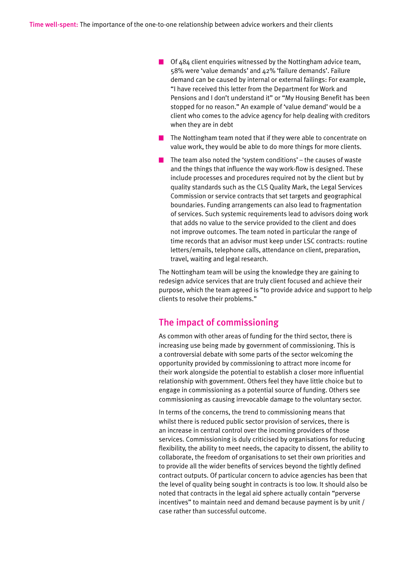- $\Box$  Of 484 client enquiries witnessed by the Nottingham advice team, 58% were 'value demands' and 42% 'failure demands'. Failure demand can be caused by internal or external failings: For example, "I have received this letter from the Department for Work and Pensions and I don't understand it" or "My Housing Benefit has been stopped for no reason." An example of 'value demand' would be a client who comes to the advice agency for help dealing with creditors when they are in debt
- $\blacksquare$  The Nottingham team noted that if they were able to concentrate on value work, they would be able to do more things for more clients.
- $\blacksquare$  The team also noted the 'system conditions' the causes of waste and the things that influence the way work-flow is designed. These include processes and procedures required not by the client but by quality standards such as the CLS Quality Mark, the Legal Services Commission or service contracts that set targets and geographical boundaries. Funding arrangements can also lead to fragmentation of services. Such systemic requirements lead to advisors doing work that adds no value to the service provided to the client and does not improve outcomes. The team noted in particular the range of time records that an advisor must keep under LSC contracts: routine letters/emails, telephone calls, attendance on client, preparation, travel, waiting and legal research.

The Nottingham team will be using the knowledge they are gaining to redesign advice services that are truly client focused and achieve their purpose, which the team agreed is "to provide advice and support to help clients to resolve their problems."

#### The impact of commissioning

As common with other areas of funding for the third sector, there is increasing use being made by government of commissioning. This is a controversial debate with some parts of the sector welcoming the opportunity provided by commissioning to attract more income for their work alongside the potential to establish a closer more influential relationship with government. Others feel they have little choice but to engage in commissioning as a potential source of funding. Others see commissioning as causing irrevocable damage to the voluntary sector.

In terms of the concerns, the trend to commissioning means that whilst there is reduced public sector provision of services, there is an increase in central control over the incoming providers of those services. Commissioning is duly criticised by organisations for reducing flexibility, the ability to meet needs, the capacity to dissent, the ability to collaborate, the freedom of organisations to set their own priorities and to provide all the wider benefits of services beyond the tightly defined contract outputs. Of particular concern to advice agencies has been that the level of quality being sought in contracts is too low. It should also be noted that contracts in the legal aid sphere actually contain "perverse incentives" to maintain need and demand because payment is by unit / case rather than successful outcome.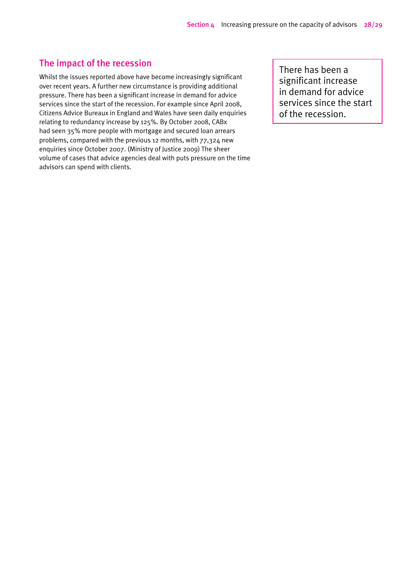#### The impact of the recession

Whilst the issues reported above have become increasingly significant over recent years. A further new circumstance is providing additional pressure. There has been a significant increase in demand for advice services since the start of the recession. For example since April 2008, Citizens Advice Bureaux in England and Wales have seen daily enquiries relating to redundancy increase by 125%. By October 2008, CABx had seen 35% more people with mortgage and secured loan arrears problems, compared with the previous 12 months, with 77,324 new enquiries since October 2007. (Ministry of Justice 2009) The sheer volume of cases that advice agencies deal with puts pressure on the time advisors can spend with clients.

There has been a significant increase in demand for advice services since the start of the recession.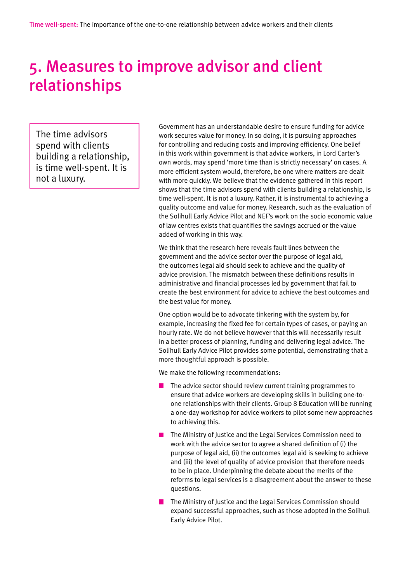# 5. Measures to improve advisor and client relationships

The time advisors spend with clients building a relationship, is time well-spent. It is not a luxury.

Government has an understandable desire to ensure funding for advice work secures value for money. In so doing, it is pursuing approaches for controlling and reducing costs and improving efficiency. One belief in this work within government is that advice workers, in Lord Carter's own words, may spend 'more time than is strictly necessary' on cases. A more efficient system would, therefore, be one where matters are dealt with more quickly. We believe that the evidence gathered in this report shows that the time advisors spend with clients building a relationship, is time well-spent. It is not a luxury. Rather, it is instrumental to achieving a quality outcome and value for money. Research, such as the evaluation of the Solihull Early Advice Pilot and NEF's work on the socio economic value of law centres exists that quantifies the savings accrued or the value added of working in this way.

We think that the research here reveals fault lines between the government and the advice sector over the purpose of legal aid, the outcomes legal aid should seek to achieve and the quality of advice provision. The mismatch between these definitions results in administrative and financial processes led by government that fail to create the best environment for advice to achieve the best outcomes and the best value for money.

One option would be to advocate tinkering with the system by, for example, increasing the fixed fee for certain types of cases, or paying an hourly rate. We do not believe however that this will necessarily result in a better process of planning, funding and delivering legal advice. The Solihull Early Advice Pilot provides some potential, demonstrating that a more thoughtful approach is possible.

We make the following recommendations:

- The advice sector should review current training programmes to ensure that advice workers are developing skills in building one-toone relationships with their clients. Group 8 Education will be running a one-day workshop for advice workers to pilot some new approaches to achieving this.
- The Ministry of Justice and the Legal Services Commission need to work with the advice sector to agree a shared definition of (i) the purpose of legal aid, (ii) the outcomes legal aid is seeking to achieve and (iii) the level of quality of advice provision that therefore needs to be in place. Underpinning the debate about the merits of the reforms to legal services is a disagreement about the answer to these questions.
- **The Ministry of Justice and the Legal Services Commission should** expand successful approaches, such as those adopted in the Solihull Early Advice Pilot.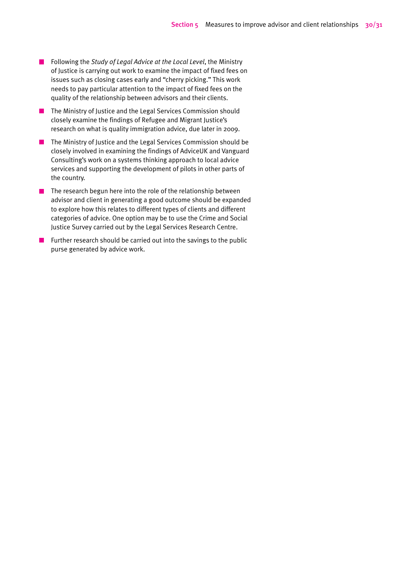- Following the *Study of Legal Advice at the Local Level*, the Ministry of Justice is carrying out work to examine the impact of fixed fees on issues such as closing cases early and "cherry picking." This work needs to pay particular attention to the impact of fixed fees on the quality of the relationship between advisors and their clients.
- **The Ministry of Justice and the Legal Services Commission should** closely examine the findings of Refugee and Migrant Justice's research on what is quality immigration advice, due later in 2009.
- The Ministry of Justice and the Legal Services Commission should be closely involved in examining the findings of AdviceUK and Vanguard Consulting's work on a systems thinking approach to local advice services and supporting the development of pilots in other parts of the country.
- $\blacksquare$  The research begun here into the role of the relationship between advisor and client in generating a good outcome should be expanded to explore how this relates to different types of clients and different categories of advice. One option may be to use the Crime and Social Justice Survey carried out by the Legal Services Research Centre.
- **Further research should be carried out into the savings to the public** purse generated by advice work.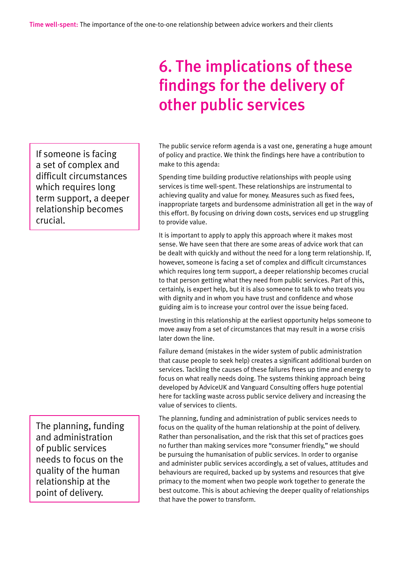# 6. The implications of these findings for the delivery of other public services

The public service reform agenda is a vast one, generating a huge amount of policy and practice. We think the findings here have a contribution to make to this agenda:

Spending time building productive relationships with people using services is time well-spent. These relationships are instrumental to achieving quality and value for money. Measures such as fixed fees, inappropriate targets and burdensome administration all get in the way of this effort. By focusing on driving down costs, services end up struggling to provide value.

It is important to apply to apply this approach where it makes most sense. We have seen that there are some areas of advice work that can be dealt with quickly and without the need for a long term relationship. If, however, someone is facing a set of complex and difficult circumstances which requires long term support, a deeper relationship becomes crucial to that person getting what they need from public services. Part of this, certainly, is expert help, but it is also someone to talk to who treats you with dignity and in whom you have trust and confidence and whose guiding aim is to increase your control over the issue being faced.

Investing in this relationship at the earliest opportunity helps someone to move away from a set of circumstances that may result in a worse crisis later down the line.

Failure demand (mistakes in the wider system of public administration that cause people to seek help) creates a significant additional burden on services. Tackling the causes of these failures frees up time and energy to focus on what really needs doing. The systems thinking approach being developed by AdviceUK and Vanguard Consulting offers huge potential here for tackling waste across public service delivery and increasing the value of services to clients.

The planning, funding and administration of public services needs to focus on the quality of the human relationship at the point of delivery. Rather than personalisation, and the risk that this set of practices goes no further than making services more "consumer friendly," we should be pursuing the humanisation of public services. In order to organise and administer public services accordingly, a set of values, attitudes and behaviours are required, backed up by systems and resources that give primacy to the moment when two people work together to generate the best outcome. This is about achieving the deeper quality of relationships that have the power to transform.

If someone is facing a set of complex and difficult circumstances which requires long term support, a deeper relationship becomes crucial.

The planning, funding and administration of public services needs to focus on the quality of the human relationship at the point of delivery.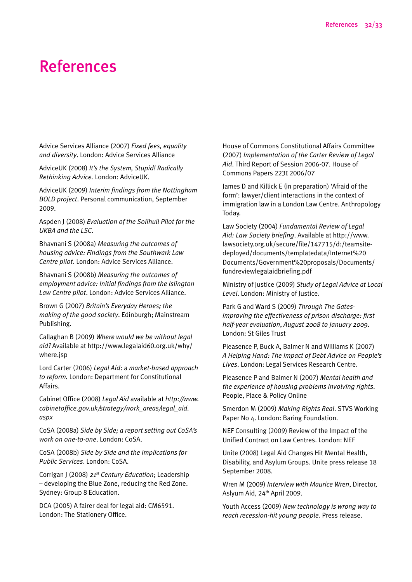# References

Advice Services Alliance (2007) *Fixed fees, equality and diversity*. London: Advice Services Alliance

AdviceUK (2008) *It's the System, Stupid! Radically Rethinking Advice.* London: AdviceUK.

AdviceUK (2009) *Interim findings from the Nottingham BOLD project*. Personal communication, September 2009.

Aspden J (2008) *Evaluation of the Solihull Pilot for the UKBA and the LSC*.

Bhavnani S (2008a) *Measuring the outcomes of housing advice: Findings from the Southwark Law Centre pilot*. London: Advice Services Alliance.

Bhavnani S (2008b) *Measuring the outcomes of employment advice: Initial findings from the Islington Law Centre pilot*. London: Advice Services Alliance.

Brown G (2007) *Britain's Everyday Heroes; the making of the good society*. Edinburgh; Mainstream Publishing.

Callaghan B (2009) *Where would we be without legal aid?* Available at http://www.legalaid60.org.uk/why/ where.jsp

Lord Carter (2006) *Legal Aid*: a *market-based approach to reform.* London: Department for Constitutional Affairs.

Cabinet Office (2008) *Legal Aid* available at *http://www. cabinetoffice.gov.uk/strategy/work\_areas/legal\_aid. aspx*

CoSA (2008a) *Side by Side; a report setting out CoSA's work on one-to-one*. London: CoSA.

CoSA (2008b) *Side by Side and the Implications for Public Services*. London: CoSA.

Corrigan J (2008) *21st Century Education*; Leadership – developing the Blue Zone, reducing the Red Zone. Sydney: Group 8 Education.

DCA (2005) A fairer deal for legal aid: CM6591. London: The Stationery Office.

House of Commons Constitutional Affairs Committee (2007) *Implementation of the Carter Review of Legal Aid*. Third Report of Session 2006-07. House of Commons Papers 223I 2006/07

James D and Killick E (in preparation) 'Afraid of the form': lawyer/client interactions in the context of immigration law in a London Law Centre. Anthropology Today.

Law Society (2004) *Fundamental Review of Legal Aid: Law Society briefing*. Available at http://www. lawsociety.org.uk/secure/file/147715/d:/teamsitedeployed/documents/templatedata/Internet%20 Documents/Government%20proposals/Documents/ fundreviewlegalaidbriefing.pdf

Ministry of Justice (2009) *Study of Legal Advice at Local Level*. London: Ministry of Justice.

Park G and Ward S (2009) *Through The Gatesimproving the effectiveness of prison discharge: first half-year evaluation*, *August 2008 to January 2009*. London: St Giles Trust

Pleasence P, Buck A, Balmer N and Williams K (2007) *A Helping Hand: The Impact of Debt Advice on People's Lives*. London: Legal Services Research Centre.

Pleasence P and Balmer N (2007) *Mental health and the experience of housing problems involving rights*. People, Place & Policy Online

Smerdon M (2009) *Making Rights Real*. STVS Working Paper No 4. London: Baring Foundation.

NEF Consulting (2009) Review of the Impact of the Unified Contract on Law Centres. London: NEF

Unite (2008) Legal Aid Changes Hit Mental Health, Disability, and Asylum Groups. Unite press release 18 September 2008.

Wren M (2009) *Interview with Maurice Wren*, Director, Aslyum Aid, 24th April 2009.

Youth Access (2009) *New technology is wrong way to reach recession-hit young people.* Press release.